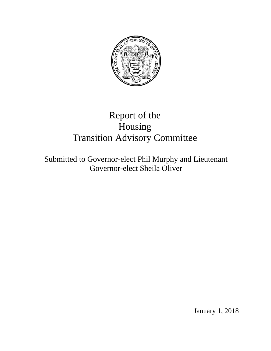

# Report of the Housing Transition Advisory Committee

Submitted to Governor-elect Phil Murphy and Lieutenant Governor-elect Sheila Oliver

January 1, 2018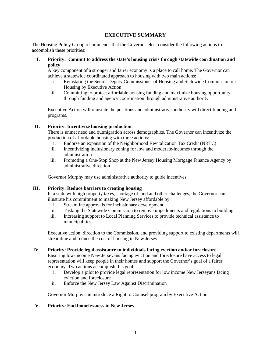# **EXECUTIVE SUMMARY**

The Housing Policy Group recommends that the Governor-elect consider the following actions to accomplish these priorities:

**I. Priority: Commit to address the state's housing crisis through statewide coordination and policy**

A key component of a stronger and fairer economy is a place to call home. The Governor can achieve a statewide coordinated approach to housing with two main actions:

- i. Reinstating the Senior Deputy Commissioner of Housing and Statewide Commission on Housing by Executive Action.
- ii. Committing to protect affordable housing funding and maximize housing opportunity through funding and agency coordination through administrative authority.

Executive Action will reinstate the positions and administrative authority will direct funding and programs.

# **II. Priority: Incentivize housing production**

There is unmet need and outmigration across demographics. The Governor can incentivize the production of affordable housing with three actions:

- i. Endorse an expansion of the Neighborhood Revitalization Tax Credit (NRTC)
- ii. Incentivizing inclusionary zoning for low and moderate-incomes through the administration
- iii. Promoting a One-Stop Shop at the New Jersey Housing Mortgage Finance Agency by administrative direction

Governor Murphy may use administrative authority to guide incentives.

#### **III. Priority: Reduce barriers to creating housing**

In a state with high property taxes, shortage of land and other challenges, the Governor can illustrate his commitment to making New Jersey affordable by:

- i. Streamline approvals for inclusionary development
- ii. Tasking the Statewide Commission to remove impediments and regulations to building
- iii. Increasing support to Local Planning Services to provide technical assistance to municipalities

Executive action, direction to the Commission, and providing support to existing departments will streamline and reduce the cost of housing in New Jersey.

#### **IV. Priority***:* **Provide legal assistance to individuals facing eviction and/or foreclosure**

Ensuring low-income New Jerseyans facing eviction and foreclosure have access to legal representation will keep people in their homes and support the Governor's goal of a fairer economy. Two actions accomplish this goal:

- i. Develop a pilot to provide legal representation for low income New Jerseyans facing eviction and foreclosure
- ii. Enforce the New Jersey Law Against Discrimination

Governor Murphy can introduce a Right to Counsel program by Executive Action.

# **V. Priority***:* **End homelessness in New Jersey**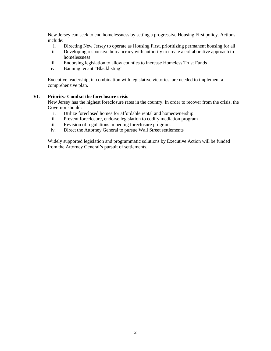New Jersey can seek to end homelessness by setting a progressive Housing First policy. Actions include:

- i. Directing New Jersey to operate as Housing First, prioritizing permanent housing for all
- ii. Developing responsive bureaucracy with authority to create a collaborative approach to homelessness
- iii. Endorsing legislation to allow counties to increase Homeless Trust Funds
- iv. Banning tenant "Blacklisting"

Executive leadership, in combination with legislative victories, are needed to implement a comprehensive plan.

#### **VI. Priority***:* **Combat the foreclosure crisis**

New Jersey has the highest foreclosure rates in the country. In order to recover from the crisis, the Governor should:

- i. Utilize foreclosed homes for affordable rental and homeownership
- ii. Prevent foreclosure, endorse legislation to codify mediation program
- iii. Revision of regulations impeding foreclosure programs
- iv. Direct the Attorney General to pursue Wall Street settlements

Widely supported legislation and programmatic solutions by Executive Action will be funded from the Attorney General's pursuit of settlements.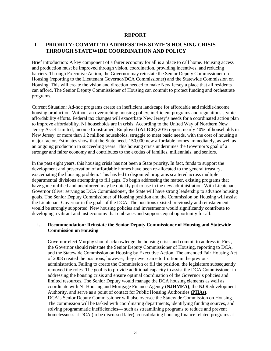#### **REPORT**

# **I. PRIORITY: COMMIT TO ADDRESS THE STATE'S HOUSING CRISIS THROUGH STATEWIDE COORDINATION AND POLICY**

Brief introduction: A key component of a fairer economy for all is a place to call home. Housing access and production must be improved through vision, coordination, providing incentives, and reducing barriers. Through Executive Action, the Governor may reinstate the Senior Deputy Commissioner on Housing (reporting to the Lieutenant Governor/DCA Commissioner) and the Statewide Commission on Housing. This will create the vision and direction needed to make New Jersey a place that all residents can afford. The Senior Deputy Commissioner of Housing can commit to protect funding and orchestrate programs.

Current Situation: Ad-hoc programs create an inefficient landscape for affordable and middle-income housing production. Without an overarching housing policy, inefficient programs and regulations stymie affordability efforts. Federal tax changes will exacerbate New Jersey's needs for a coordinated action plan to improve affordability. NJ households are in crisis. According to the United Way of Northern New Jersey Asset Limited, Income Constrained, Employed (**ALICE)** 2016 report, nearly 40% of households in New Jersey, or more than 1.2 million households, struggle to meet basic needs, with the cost of housing a major factor. Estimates show that the State needs 150,000 new affordable homes immediately, as well as an ongoing production in succeeding years. This housing crisis undermines the Governor's goal of a stronger and fairer economy and contributes to the exodus of families, millennials, and seniors.

In the past eight years, this housing crisis has not been a State priority. In fact, funds to support the development and preservation of affordable homes have been re-allocated to the general treasury, exacerbating the housing problem. This has led to disjointed programs scattered across multiple departmental divisions attempting to fill gaps. To begin addressing the matter, existing programs that have gone unfilled and unenforced may be quickly put to use in the new administration. With Lieutenant Governor Oliver serving as DCA Commissioner, the State will have strong leadership to advance housing goals. The Senior Deputy Commissioner of Housing position and the Commission on Housing will assist the Lieutenant Governor in the goals of the DCA. The positions existed previously and reinstatement would be strongly supported. New housing policies and investments would significantly contribute to developing a vibrant and just economy that embraces and supports equal opportunity for all.

## **i. Recommendation: Reinstate the Senior Deputy Commissioner of Housing and Statewide Commission on Housing**

Governor-elect Murphy should acknowledge the housing crisis and commit to address it. First, the Governor should reinstate the Senior Deputy Commissioner of Housing, reporting to DCA, and the Statewide Commission on Housing by Executive Action. The amended Fair Housing Act of 2008 created the positions, however, they never came to fruition in the previous administration. Failing to create the Commission or fill the position, the legislature subsequently removed the roles. The goal is to provide additional capacity to assist the DCA Commissioner in addressing the housing crisis and ensure optimal coordination of the Governor's policies and limited resources. The Senior Deputy would manage the DCA housing elements as well as coordinate with NJ Housing and Mortgage Finance Agency **(NJHMFA)**, the NJ Redevelopment Authority, and serve as a point of contact for Public Housing Authorities **(PHAs)**. DCA's Senior Deputy Commissioner will also oversee the Statewide Commission on Housing. The commission will be tasked with coordinating departments, identifying funding sources, and solving programmatic inefficiencies— such as streamlining programs to reduce and prevent homelessness at DCA (to be discussed later), consolidating housing finance related programs at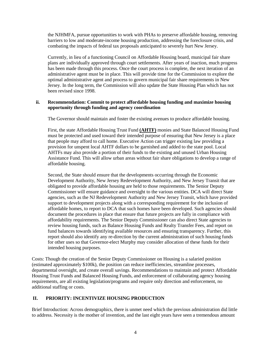the NJHMFA, pursue opportunities to work with PHAs to preserve affordable housing, removing barriers to low and moderate-income housing production, addressing the foreclosure crisis, and combating the impacts of federal tax proposals anticipated to severely hurt New Jersey.

Currently, in lieu of a functioning Council on Affordable Housing board, municipal fair share plans are individually approved through court settlements. After years of inaction, much progress has been made through this process. Once the court process is complete, the next iteration of an administrative agent must be in place. This will provide time for the Commission to explore the optimal administrative agent and process to govern municipal fair share requirements in New Jersey. In the long term, the Commission will also update the State Housing Plan which has not been revised since 1998.

# **ii. Recommendation: Commit to protect affordable housing funding and maximize housing opportunity through funding and agency coordination**

The Governor should maintain and foster the existing avenues to produce affordable housing.

First, the state Affordable Housing Trust Fund **(AHTF)** monies and State Balanced Housing Fund must be protected and used toward their intended purpose of ensuring that New Jersey is a place that people may afford to call home. Executive Action can trigger existing law providing a provision for unspent local AHTF dollars to be garnished and added to the state pool. Local AHTFs may also provide a portion of their funds to the existing and unused Urban Housing Assistance Fund. This will allow urban areas without fair share obligations to develop a range of affordable housing.

Second, the State should ensure that the developments occurring through the Economic Development Authority, New Jersey Redevelopment Authority, and New Jersey Transit that are obligated to provide affordable housing are held to those requirements. The Senior Deputy Commissioner will ensure guidance and oversight to the various entities. DCA will direct State agencies, such as the NJ Redevelopment Authority and New Jersey Transit, which have provided support to development projects along with a corresponding requirement for the inclusion of affordable homes, to report to DCA that such homes have been developed. Such agencies should document the procedures in place that ensure that future projects are fully in compliance with affordability requirements. The Senior Deputy Commissioner can also direct State agencies to review housing funds, such as Balance Housing Funds and Realty Transfer Fees, and report on fund balances towards identifying available resources and ensuring transparency. Further, this report should also identify any re-direction by the current administration of such housing funds for other uses so that Governor-elect Murphy may consider allocation of these funds for their intended housing purposes.

Costs: Though the creation of the Senior Deputy Commissioner on Housing is a salaried position (estimated approximately \$100k), the position can reduce inefficiencies, streamline processes, departmental oversight, and create overall savings. Recommendations to maintain and protect Affordable Housing Trust Funds and Balanced Housing Funds, and enforcement of collaborating agency housing requirements, are all existing legislation/programs and require only direction and enforcement, no additional staffing or costs.

# **II. PRIORITY: INCENTIVIZE HOUSING PRODUCTION**

Brief Introduction: Across demographics, there is unmet need which the previous administration did little to address. Necessity is the mother of invention, and the last eight years have seen a tremendous amount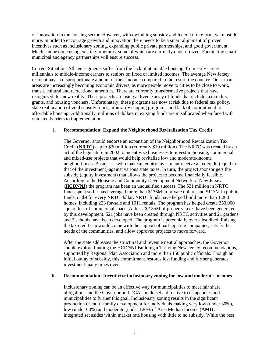of innovation in the housing sector. However, with dwindling subsidy and federal tax reform, we must do more. In order to encourage growth and innovation there needs to be a smart alignment of proven incentives such as inclusionary zoning, expanding public private partnerships, and good government. Much can be done using existing programs, some of which are currently underutilized. Facilitating smart municipal and agency partnerships will ensure success.

Current Situation: All age segments suffer from the lack of attainable housing, from early career millennials to middle-income earners to seniors on fixed or limited incomes. The average New Jersey resident pays a disproportionate amount of their income compared to the rest of the country. Our urban areas are increasingly becoming economic drivers, as more people move to cities to be close to work, transit, cultural and recreational amenities. There are currently transformative projects that have recognized this new reality. These projects are using a diverse array of funds that include tax credits, grants, and housing vouchers. Unfortunately, these programs are now at risk due to federal tax policy, state reallocation of vital subsidy funds, arbitrarily capping programs, and lack of commitment to affordable housing. Additionally, millions of dollars in existing funds are misallocated when faced with outdated barriers to implementation.

#### **i. Recommendation: Expand the Neighborhood Revitalization Tax Credit**

The Governor should endorse an expansion of the Neighborhood Revitalization Tax Credit (**NRTC**) cap to \$30 million (currently \$10 million). The NRTC was created by an act of the legislature in 2002 to incentivize businesses to invest in housing, commercial, and mixed-use projects that would help revitalize low and moderate-income neighborhoods. Businesses who make an equity investment receive a tax credit (equal to that of the investment) against various state taxes. In turn, the project sponsor gets the subsidy (equity investment) that allows the project to become financially feasible. According to the Housing and Community Development Network of New Jersey (**HCDNNJ**) the program has been an unqualified success. The \$31 million in NRTC funds spent so far has leveraged more than \$176M in private dollars and \$113M in public funds, or \$9 for every NRTC dollar. NRTC funds have helped build more than 1,200 homes, including 223 for-sale and 1011 rentals. The program has helped create 350,000 square feet of commercial space. At least \$2.35M of property taxes have been generated by this development. 521 jobs have been created through NRTC activities and 21 gardens and 3 schools have been developed. The program is perennially oversubscribed. Raising the tax credit cap would come with the support of participating companies, satisfy the needs of the communities, and allow approved projects to move forward.

After the state addresses the structural and revenue neutral approaches, the Governor should explore funding the HCDNNJ Building a Thriving New Jersey recommendations, supported by Regional Plan Association and more than 150 public officials. Though an initial outlay of subsidy, this commitment restores lost funding and further generates investment many times over.

#### **ii. Recommendation: Incentivize inclusionary zoning for low and moderate-incomes**

Inclusionary zoning can be an effective way for municipalities to meet fair share obligations and the Governor and DCA should set a directive to its agencies and municipalities to further this goal. Inclusionary zoning results in the significant production of multi-family development for individuals making very low (under 30%), low (under 60%) and moderate (under 120% of Area Median Income (**AMI**) as integrated set asides within market rate housing with little to no subsidy. While the best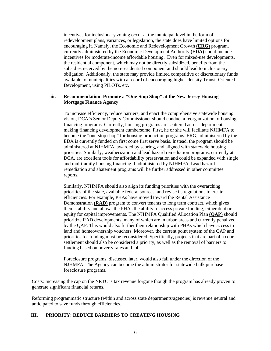incentives for inclusionary zoning occur at the municipal level in the form of redevelopment plans, variances, or legislation, the state does have limited options for encouraging it. Namely, the Economic and Redevelopment Growth **(ERG)** program, currently administered by the Economic Development Authority **(EDA)** could include incentives for moderate-income affordable housing. Even for mixed-use developments, the residential component, which may not be directly subsidized, benefits from the subsidies received by the non-residential component and should lead to inclusionary obligation. Additionally, the state may provide limited competitive or discretionary funds available to municipalities with a record of encouraging higher-density Transit Oriented Development, using PILOTs, etc.

# **iii. Recommendation: Promote a "One-Stop Shop" at the New Jersey Housing Mortgage Finance Agency**

To increase efficiency, reduce barriers, and enact the comprehensive statewide housing vision, DCA's Senior Deputy Commissioner should conduct a reorganization of housing financing programs. Currently, housing programs are scattered across departments making financing development cumbersome. First, he or she will facilitate NJHMFA to become the "one-stop shop" for housing production programs. ERG, administered by the EDA is currently funded on first come first serve basis. Instead, the program should be administered at NJHMFA, awarded by scoring, and aligned with statewide housing priorities. Similarly, weatherization and lead hazard remediation programs, currently at DCA, are excellent tools for affordability preservation and could be expanded with single and multifamily housing financing if administered by NJHMFA. Lead hazard remediation and abatement programs will be further addressed in other committee reports.

Similarly, NJHMFA should also align its funding priorities with the overarching priorities of the state, available federal sources, and revise its regulations to create efficiencies. For example, PHAs have moved toward the Rental Assistance Demonstration **(RAD)** program to convert tenants to long term contract, which gives them stability and allows the PHAs the ability to access private funding, either debt or equity for capital improvements. The NJHMFA Qualified Allocation Plan **(QAP)** should prioritize RAD developments, many of which are in urban areas and currently penalized by the QAP. This would also further their relationship with PHAs which have access to land and homeownership vouchers. Moreover, the current point system of the QAP and priorities for funding must be reconsidered. Specifically, projects that are part of a court settlement should also be considered a priority, as well as the removal of barriers to funding based on poverty rates and jobs.

Foreclosure programs, discussed later, would also fall under the direction of the NJHMFA. The Agency can become the administrator for statewide bulk purchase foreclosure programs.

Costs: Increasing the cap on the NRTC is tax revenue forgone though the program has already proven to generate significant financial returns.

Reforming programmatic structure (within and across state departments/agencies) is revenue neutral and anticipated to save funds through efficiencies.

#### **III. PRIORITY: REDUCE BARRIERS TO CREATING HOUSING**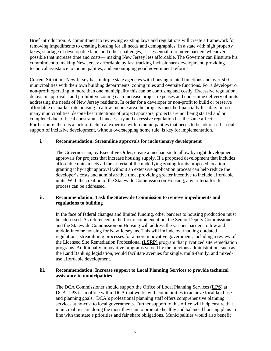Brief Introduction: A commitment to reviewing existing laws and regulations will create a framework for removing impediments to creating housing for all needs and demographics. In a state with high property taxes, shortage of developable land, and other challenges, it is essential to remove barriers whenever possible that increase time and costs— making New Jersey less affordable. The Governor can illustrate his commitment to making New Jersey affordable by fast tracking inclusionary development, providing technical assistance to municipalities, and encouraging good government reforms.

Current Situation: New Jersey has multiple state agencies with housing related functions and over 500 municipalities with their own building departments, zoning rules and oversite functions. For a developer or non-profit operating in more than one municipality this can be confusing and costly. Excessive regulation, delays in approvals, and prohibitive zoning each increase project expenses and undermine delivery of units addressing the needs of New Jersey residents. In order for a developer or non-profit to build or preserve affordable or market rate housing in a low-income area the projects must be financially feasible. In too many municipalities, despite best intentions of project sponsors, projects are not being started and or completed due to fiscal constraints. Unnecessary and excessive regulation has the same affect. Furthermore, there is a lack of technical expertise within municipalities that needs to be addressed. Local support of inclusive development, without overstepping home rule, is key for implementation.

# **i. Recommendation: Streamline approvals for inclusionary development**

The Governor can, by Executive Order, create a mechanism to allow by-right development approvals for projects that increase housing supply. If a proposed development that includes affordable units meets all the criteria of the underlying zoning for its proposed location, granting it by-right approval without an extensive application process can help reduce the developer's costs and administrative time, providing greater incentive to include affordable units. With the creation of the Statewide Commission on Housing, any criteria for this process can be addressed.

# **ii. Recommendation: Task the Statewide Commission to remove impediments and regulations to building**

In the face of federal changes and limited funding, other barriers to housing production must be addressed. As referenced in the first recommendation, the Senior Deputy Commissioner and the Statewide Commission on Housing will address the various barriers to low and middle-income housing for New Jerseyans. This will include overhauling outdated regulations, streamlining processes for a more innovative government, including a review of the Licensed Site Remediation Professional **(LSRP)** program that privatized site remediation programs. Additionally, innovative programs vetoed by the previous administration, such as the Land Banking legislation, would facilitate avenues for single, multi-family, and mixeduse affordable development.

# **iii. Recommendation: Increase support to Local Planning Services to provide technical assistance to municipalities**

The DCA Commissioner should support the Office of Local Planning Services (**LPS**) at DCA. LPS is an office within DCA that works with communities to achieve local land use and planning goals. DCA's professional planning staff offers comprehensive planning services at no-cost to local governments. Further support to this office will help ensure that municipalities are doing the most they can to promote healthy and balanced housing plans in line with the state's priorities and fair share obligations. Municipalities would also benefit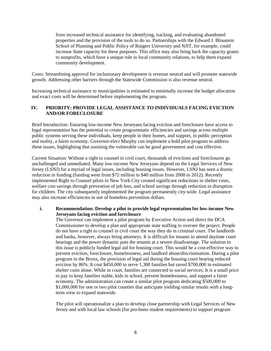from increased technical assistance for identifying, tracking, and evaluating abandoned properties and the provision of the tools to do so. Partnerships with the Edward J. Bloustein School of Planning and Public Policy of Rutgers University and NJIT, for example, could increase State capacity for these purposes. This office may also bring back the capacity grants to nonprofits, which have a unique role in local community relations, to help them expand community development.

Costs: Streamlining approval for inclusionary development is revenue neutral and will promote statewide growth. Addressing other barriers through the Statewide Commission is also revenue neutral.

Increasing technical assistance to municipalities is estimated to minimally increase the budget allocation and exact costs will be determined before implementing the program.

# **IV. PRIORITY: PROVIDE LEGAL ASSISTANCE TO INDIVIDUALS FACING EVICTION AND/OR FORECLOSURE**

Brief Introduction: Ensuring low-income New Jerseyans facing eviction and foreclosure have access to legal representation has the potential to create programmatic efficiencies and savings across multiple public systems serving these individuals, keep people in their homes, and support, in public perception and reality, a fairer economy. Governor-elect Murphy can implement a bold pilot program to address these issues, highlighting that assisting the vulnerable can be good government and cost effective.

Current Situation: Without a right to counsel in civil court, thousands of evictions and foreclosures go unchallenged and unmediated. Many low-income New Jerseyans depend on the Legal Services of New Jersey (LSNJ) for a myriad of legal issues, including housing issues. However, LSNJ has seen a drastic reduction in funding (funding went from \$72 million to \$40 million from 2008 to 2012). Recently implemented Right to Counsel pilots in New York City created significant reductions in shelter costs, welfare cost savings through prevention of job loss, and school savings through reduction in disruption for children. The city subsequently implemented the program permanently city-wide. Legal assistance may also increase efficiencies in use of homeless prevention dollars.

# **i. Recommendation: Develop a pilot to provide legal representation for low-income New Jerseyans facing eviction and foreclosure**

The Governor can implement a pilot program by Executive Action and direct the DCA Commissioner to develop a plan and appropriate state staffing to oversee the project. People do not have a right to counsel in civil court the way they do in criminal court. The landlords and banks, however, always bring attorneys. It is difficult for tenants to attend daytime court hearings and the power dynamic puts the tenants at a severe disadvantage. The solution to this issue is publicly funded legal aid for housing court. This would be a cost-effective way to prevent eviction, foreclosure, homelessness, and landlord abuse/discrimination. During a pilot program in the Bronx, the provision of legal aid during the housing court hearing reduced eviction by 86%. It cost \$450,000 to serve 1,300 families but saved \$700,000 in estimated shelter costs alone. While in court, families are connected to social services. It is a small price to pay to keep families stable, kids in school, prevent homelessness, and support a fairer economy. The administration can create a similar pilot program dedicating \$500,000 to \$1,000,000 for one or two pilot counties that anticipate yielding similar results with a longterm view to expand statewide.

The pilot will operationalize a plan to develop close partnership with Legal Services of New Jersey and with local law schools (for pro-bono student requirements) to support program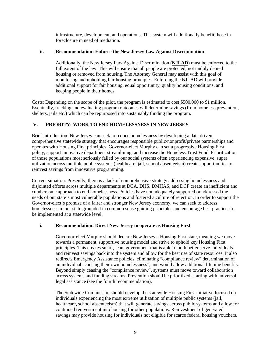infrastructure, development, and operations. This system will additionally benefit those in foreclosure in need of mediation.

# **ii. Recommendation: Enforce the New Jersey Law Against Discrimination**

Additionally, the New Jersey Law Against Discrimination (**NJLAD**) must be enforced to the full extent of the law. This will ensure that all people are protected, not unduly denied housing or removed from housing. The Attorney General may assist with this goal of monitoring and upholding fair housing principles. Enforcing the NJLAD will provide additional support for fair housing, equal opportunity, quality housing conditions, and keeping people in their homes.

Costs: Depending on the scope of the pilot, the program is estimated to cost \$500,000 to \$1 million. Eventually, tracking and evaluating program outcomes will determine savings (from homeless prevention, shelters, jails etc.) which can be repurposed into sustainably funding the program.

# **V. PRIORITY: WORK TO END HOMELESSNESS IN NEW JERSEY**

Brief Introduction: New Jersey can seek to reduce homelessness by developing a data driven, comprehensive statewide strategy that encourages responsible public/nonprofit/private partnerships and operates with Housing First principles. Governor-elect Murphy can set a progressive Housing First policy, support innovative department streamlining, and increase the Homeless Trust Fund. Prioritization of those populations most seriously failed by our social systems often experiencing expensive, super utilization across multiple public systems (healthcare, jail, school absenteeism) creates opportunities to reinvest savings from innovative programming.

Current situation: Presently, there is a lack of comprehensive strategy addressing homelessness and disjointed efforts across multiple departments at DCA, DHS, DMHAS, and DCF create an inefficient and cumbersome approach to end homelessness. Policies have not adequately supported or addressed the needs of our state's most vulnerable populations and fostered a culture of rejection. In order to support the Governor-elect's promise of a fairer and stronger New Jersey economy, we can seek to address homelessness in our state grounded in common sense guiding principles and encourage best practices to be implemented at a statewide level.

# **i. Recommendation: Direct New Jersey to operate as Housing First**

Governor-elect Murphy should declare New Jersey a Housing First state, meaning we move towards a permanent, supportive housing model and strive to uphold key Housing First principles. This creates smart, lean, government that is able to both better serve individuals and reinvest savings back into the system and allow for the best use of state resources. It also redirects Emergency Assistance policies, eliminating "compliance review" determination of an individual "causing their own homelessness", and would allow additional lifetime benefits. Beyond simply ceasing the "compliance review", systems must move toward collaboration across systems and funding streams. Prevention should be prioritized, starting with universal legal assistance (see the fourth recommendation).

The Statewide Commission should develop the statewide Housing First initiative focused on individuals experiencing the most extreme utilization of multiple public systems (jail, healthcare, school absenteeism) that will generate savings across public systems and allow for continued reinvestment into housing for other populations. Reinvestment of generated savings may provide housing for individuals not eligible for scarce federal housing vouchers,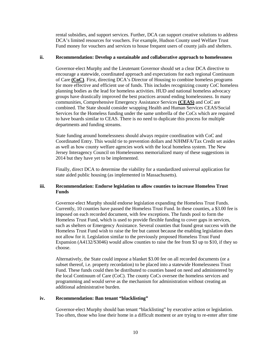rental subsidies, and support services. Further, DCA can support creative solutions to address DCA's limited resources for vouchers. For example, Hudson County used Welfare Trust Fund money for vouchers and services to house frequent users of county jails and shelters.

#### **ii. Recommendation: Develop a sustainable and collaborative approach to homelessness**

Governor-elect Murphy and the Lieutenant Governor should set a clear DCA directive to encourage a statewide, coordinated approach and expectations for each regional Continuum of Care **(CoC)**. First, directing DCA's Director of Housing to combine homeless programs for more effective and efficient use of funds. This includes recognizing county CoC homeless planning bodies as the lead for homeless activities. HUD and national homeless advocacy groups have drastically improved the best practices around ending homelessness. In many communities, Comprehensive Emergency Assistance Services **(CEAS)** and CoC are combined. The State should consider wrapping Health and Human Services CEAS/Social Services for the Homeless funding under the same umbrella of the CoCs which are required to have boards similar to CEAS. There is no need to duplicate this process for multiple departments and funding streams.

State funding around homelessness should always require coordination with CoC and Coordinated Entry. This would tie to prevention dollars and NJHMFA/Tax Credit set asides as well as how county welfare agencies work with the local homeless system. The New Jersey Interagency Council on Homelessness memorialized many of these suggestions in 2014 but they have yet to be implemented.

Finally, direct DCA to determine the viability for a standardized universal application for state aided public housing (as implemented in Massachusetts).

# **iii. Recommendation: Endorse legislation to allow counties to increase Homeless Trust Funds**

Governor-elect Murphy should endorse legislation expanding the Homeless Trust Funds. Currently, 10 counties have passed the Homeless Trust Fund. In these counties, a \$3.00 fee is imposed on each recorded document, with few exceptions. The funds pool to form the Homeless Trust Fund, which is used to provide flexible funding to cover gaps in services, such as shelters or Emergency Assistance. Several counties that found great success with the Homeless Trust Fund wish to raise the fee but cannot because the enabling legislation does not allow for it. Legislation similar to the previously proposed Homeless Trust Fund Expansion (A4132/S3046) would allow counties to raise the fee from \$3 up to \$10, if they so choose.

Alternatively, the State could impose a blanket \$3.00 fee on all recorded documents (or a subset thereof, i.e. property recordation) to be placed into a statewide Homelessness Trust Fund. These funds could then be distributed to counties based on need and administered by the local Continuum of Care (CoC). The county CoCs oversee the homeless services and programming and would serve as the mechanism for administration without creating an additional administrative burden.

#### **iv. Recommendation: Ban tenant "blacklisting"**

Governor-elect Murphy should ban tenant "blacklisting" by executive action or legislation. Too often, those who lose their home in a difficult moment or are trying to re-enter after time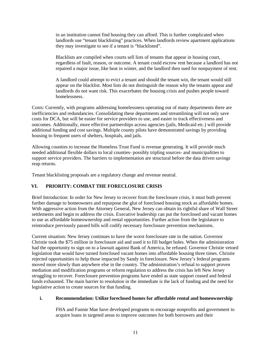in an institution cannot find housing they can afford. This is further complicated when landlords use "tenant blacklisting" practices. When landlords review apartment applications they may investigate to see if a tenant is "blacklisted".

Blacklists are compiled when courts sell lists of tenants that appear in housing court, regardless of fault, reason, or outcome. A tenant could escrow rent because a landlord has not repaired a major issue, like heat in winter, and the landlord then sued for nonpayment of rent.

A landlord could attempt to evict a tenant and should the tenant win, the tenant would still appear on the blacklist. Most lists do not distinguish the reason why the tenants appear and landlords do not want risk. This exacerbates the housing crisis and pushes people toward homelessness.

Costs: Currently, with programs addressing homelessness operating out of many departments there are inefficiencies and redundancies. Consolidating these departments and streamlining will not only save costs for DCA, but will be easier for service providers to use, and easier to track effectiveness and outcomes. Additionally, more effective partnerships across agencies (jails, Medicaid etc.) will provide additional funding and cost savings. Multiple county pilots have demonstrated savings by providing housing to frequent users of shelters, hospitals, and jails.

Allowing counties to increase the Homeless Trust Fund is revenue generating. It will provide much needed additional flexible dollars to local counties- possibly tripling sources- and municipalities to support service providers. The barriers to implementation are structural before the data driven savings reap returns.

Tenant blacklisting proposals are a regulatory change and revenue neutral.

# **VI. PRIORITY: COMBAT THE FORECLOSURE CRISIS**

Brief Introduction: In order for New Jersey to recover from the foreclosure crisis, it must both prevent further damage to homeowners and repurpose the glut of foreclosed housing stock as affordable homes. With aggressive action from the Attorney General, New Jersey can obtain its rightful share of Wall Street settlements and begin to address the crisis. Executive leadership can put the foreclosed and vacant homes to use as affordable homeownership and rental opportunities. Further action from the legislature to reintroduce previously passed bills will codify necessary foreclosure prevention mechanisms.

Current situation: New Jersey continues to have the worst foreclosure rate in the nation. Governor Christie took the \$75 million in foreclosure aid and used it to fill budget holes. When the administration had the opportunity to sign on to a lawsuit against Bank of America, he refused. Governor Christie vetoed legislation that would have turned foreclosed vacant homes into affordable housing three times. Christie rejected opportunities to help those impacted by Sandy in foreclosure. New Jersey's federal programs moved more slowly than anywhere else in the country. The administration's refusal to support proven mediation and modification programs or reform regulation to address the crisis has left New Jersey struggling to recover. Foreclosure prevention programs have ended as state support ceased and federal funds exhausted. The main barrier to resolution in the immediate is the lack of funding and the need for legislative action to create sources for that funding.

# **i. Recommendation: Utilize foreclosed homes for affordable rental and homeownership**

FHA and Fannie Mae have developed programs to encourage nonprofits and government to acquire loans in targeted areas to improve outcomes for both borrowers and their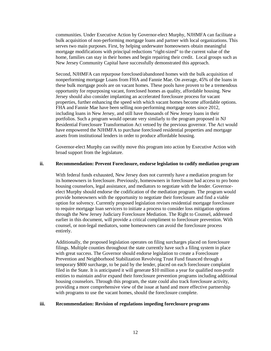communities. Under Executive Action by Governor-elect Murphy, NJHMFA can facilitate a bulk acquisition of non-performing mortgage loans and partner with local organizations. This serves two main purposes. First, by helping underwater homeowners obtain meaningful mortgage modifications with principal reductions "right-sized" to the current value of the home, families can stay in their homes and begin repairing their credit. Local groups such as New Jersey Community Capital have successfully demonstrated this approach.

Second, NJHMFA can repurpose foreclosed/abandoned homes with the bulk acquisition of nonperforming mortgage Loans from FHA and Fannie Mae. On average, 45% of the loans in these bulk mortgage pools are on vacant homes. These pools have proven to be a tremendous opportunity for repurposing vacant, foreclosed homes as quality, affordable housing. New Jersey should also consider implanting an accelerated foreclosure process for vacant properties, further enhancing the speed with which vacant homes become affordable options. FHA and Fannie Mae have been selling non-performing mortgage notes since 2012, including loans in New Jersey, and still have thousands of New Jersey loans in their portfolios. Such a program would operate very similarly to the program proposed in NJ Residential Foreclosure Transformation Act vetoed by the previous governor. The Act would have empowered the NJHMFA to purchase foreclosed residential properties and mortgage assets from institutional lenders in order to produce affordable housing.

Governor-elect Murphy can swiftly move this program into action by Executive Action with broad support from the legislature.

#### **ii. Recommendation: Prevent Foreclosure, endorse legislation to codify mediation program**

With federal funds exhausted, New Jersey does not currently have a mediation program for its homeowners in foreclosure. Previously, homeowners in foreclosure had access to pro bono housing counselors, legal assistance, and mediators to negotiate with the lender. Governorelect Murphy should endorse the codification of the mediation program. The program would provide homeowners with the opportunity to negotiate their foreclosure and find a viable option for solvency. Currently proposed legislation revises residential mortgage foreclosure to require mortgage loan servicers to initiate a process to consider loss mitigation options through the New Jersey Judiciary Foreclosure Mediation. The Right to Counsel, addressed earlier in this document, will provide a critical compliment to foreclosure prevention. With counsel, or non-legal mediators, some homeowners can avoid the foreclosure process entirely.

Additionally, the proposed legislation operates on filing surcharges placed on foreclosure filings. Multiple counties throughout the state currently have such a filing system in place with great success. The Governor should endorse legislation to create a Foreclosure Prevention and Neighborhood Stabilization Revolving Trust Fund financed through a temporary \$800 surcharge, to be paid by the lender, placed on each foreclosure complaint filed in the State. It is anticipated it will generate \$10 million a year for qualified non-profit entities to maintain and/or expand their foreclosure prevention programs including additional housing counselors. Through this program, the state could also track foreclosure activity, providing a more comprehensive view of the issue at hand and more effective partnership with programs to use the vacant homes, should the foreclosure complete.

#### **iii. Recommendation: Revision of regulations impeding foreclosure programs**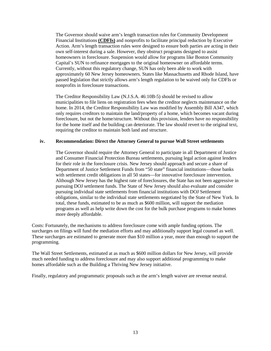The Governor should waive arm's length transaction rules for Community Development Financial Institutions **(CDFIs)** and nonprofits to facilitate principal reduction by Executive Action. Arm's length transaction rules were designed to ensure both parties are acting in their own self-interest during a sale. However, they obstruct programs designed to assist homeowners in foreclosure. Suspension would allow for programs like Boston Community Capital's SUN to refinance mortgages to the original homeowner on affordable terms. Currently, without this regulatory change, SUN has only been able to work with approximately 60 New Jersey homeowners. States like Massachusetts and Rhode Island, have passed legislation that strictly allows arm's length regulation to be waived only for CDFIs or nonprofits in foreclosure transactions.

The Creditor Responsibility Law (N.J.S.A. 46:10B-5) should be revised to allow municipalities to file liens on registration fees when the creditor neglects maintenance on the home. In 2014, the Creditor Responsibility Law was modified by Assembly Bill A347, which only requires creditors to maintain the land/property of a home, which becomes vacant during foreclosure, but not the home/structure. Without this provision, lenders have no responsibility for the home itself and the building can deteriorate. The law should revert to the original text, requiring the creditor to maintain both land and structure.

# **iv. Recommendation: Direct the Attorney General to pursue Wall Street settlements**

The Governor should require the Attorney General to participate in all Department of Justice and Consumer Financial Protection Bureau settlements, pursuing legal action against lenders for their role in the foreclosure crisis. New Jersey should approach and secure a share of Department of Justice Settlement Funds from "50 state" financial institutions—those banks with settlement credit obligations in all 50 states—for innovative foreclosure intervention. Although New Jersey has the highest rate of foreclosures, the State has not been aggressive in pursuing DOJ settlement funds. The State of New Jersey should also evaluate and consider pursuing individual state settlements from financial institutions with DOJ Settlement obligations, similar to the individual state settlements negotiated by the State of New York. In total, these funds, estimated to be as much as \$600 million, will support the mediation programs as well as help write down the cost for the bulk purchase programs to make homes more deeply affordable.

Costs: Fortunately, the mechanisms to address foreclosure come with ample funding options. The surcharges on filings will fund the mediation efforts and may additionally support legal counsel as well. These surcharges are estimated to generate more than \$10 million a year, more than enough to support the programming.

The Wall Street Settlements, estimated at as much as \$600 million dollars for New Jersey, will provide much needed funding to address foreclosure and may also support additional programming to make homes affordable such as the Building a Thriving New Jersey initiative.

Finally, regulatory and programmatic proposals such as the arm's length waiver are revenue neutral.